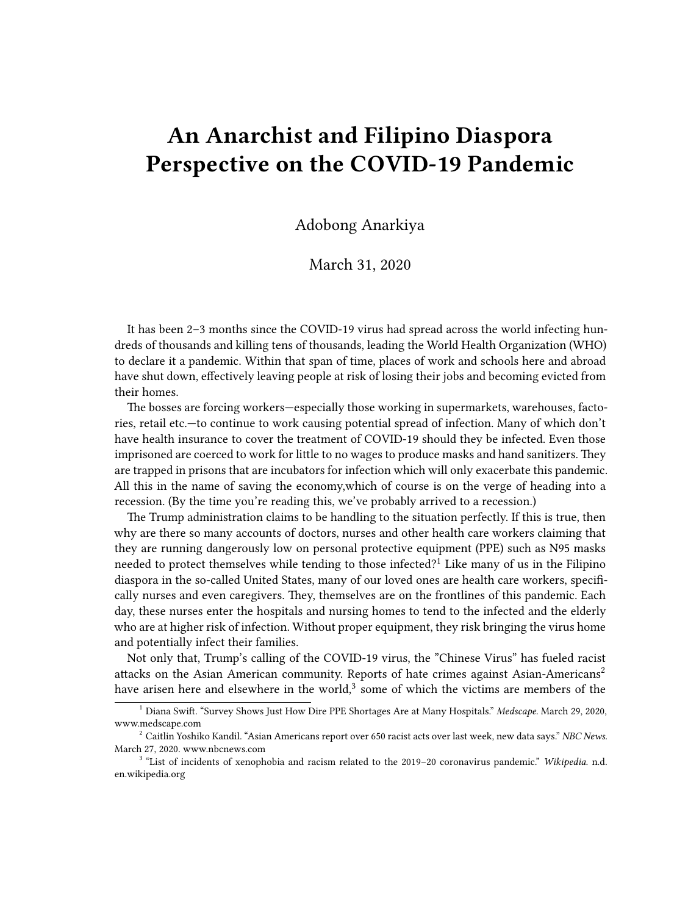## **An Anarchist and Filipino Diaspora Perspective on the COVID-19 Pandemic**

Adobong Anarkiya

March 31, 2020

It has been 2–3 months since the COVID-19 virus had spread across the world infecting hundreds of thousands and killing tens of thousands, leading the World Health Organization (WHO) to declare it a pandemic. Within that span of time, places of work and schools here and abroad have shut down, effectively leaving people at risk of losing their jobs and becoming evicted from their homes.

The bosses are forcing workers—especially those working in supermarkets, warehouses, factories, retail etc.—to continue to work causing potential spread of infection. Many of which don't have health insurance to cover the treatment of COVID-19 should they be infected. Even those imprisoned are coerced to work for little to no wages to produce masks and hand sanitizers. They are trapped in prisons that are incubators for infection which will only exacerbate this pandemic. All this in the name of saving the economy,which of course is on the verge of heading into a recession. (By the time you're reading this, we've probably arrived to a recession.)

The Trump administration claims to be handling to the situation perfectly. If this is true, then why are there so many accounts of doctors, nurses and other health care workers claiming that they are running dangerously low on personal protective equipment (PPE) such as N95 masks needed to protect themselves while tending to those infected?<sup>1</sup> Like many of us in the Filipino diaspora in the so-called United States, many of our loved ones are health care workers, specifically nurses and even caregivers. They, themselves are on the frontlines of this pandemic. Each day, these nurses enter the hospitals and nursing homes to tend to the infected and the elderly who are at higher risk of infection. Without proper equipment, they risk bringing the virus home and potentially infect their families.

Not only that, Trump's calling of the COVID-19 virus, the "Chinese Virus" has fueled racist attacks on the Asian American community. Reports of hate crimes against Asian-Americans<sup>2</sup> have arisen here and elsewhere in the world, $3$  some of which the victims are members of the

<sup>1</sup> Diana Swift. "Survey Shows Just How Dire PPE Shortages Are at Many Hospitals." *Medscape.* March 29, 2020, [www.medscape.com](https://www.medscape.com/viewarticle/927728)

<sup>2</sup> Caitlin Yoshiko Kandil. "Asian Americans report over 650 racist acts over last week, new data says." *NBC News.* March 27, 2020. [www.nbcnews.com](https://www.nbcnews.com/news/asian-america/asian-americans-report-nearly-500-racist-acts-over-last-week-n1169821)

<sup>3</sup> "List of incidents of xenophobia and racism related to the 2019–20 coronavirus pandemic." *Wikipedia*. n.d. [en.wikipedia.org](https://en.wikipedia.org/wiki/List_of_incidents_of_xenophobia_and_racism_related_to_the_2019%E2%80%9320_coronavirus_pandemic)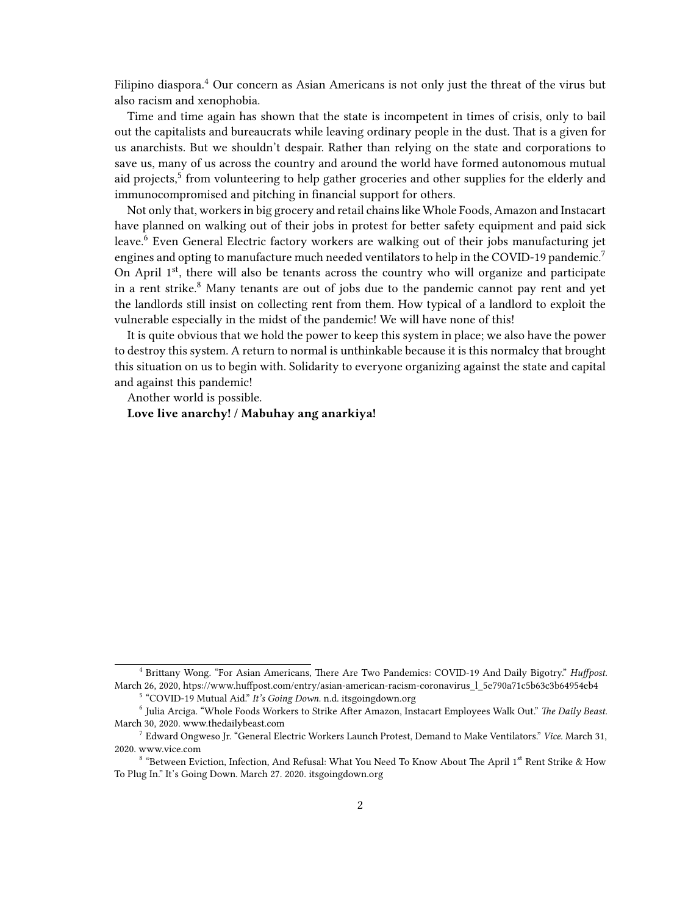Filipino diaspora.<sup>4</sup> Our concern as Asian Americans is not only just the threat of the virus but also racism and xenophobia.

Time and time again has shown that the state is incompetent in times of crisis, only to bail out the capitalists and bureaucrats while leaving ordinary people in the dust. That is a given for us anarchists. But we shouldn't despair. Rather than relying on the state and corporations to save us, many of us across the country and around the world have formed autonomous mutual aid projects,<sup>5</sup> from volunteering to help gather groceries and other supplies for the elderly and immunocompromised and pitching in financial support for others.

Not only that, workers in big grocery and retail chains like Whole Foods, Amazon and Instacart have planned on walking out of their jobs in protest for better safety equipment and paid sick leave.<sup>6</sup> Even General Electric factory workers are walking out of their jobs manufacturing jet engines and opting to manufacture much needed ventilators to help in the COVID-19 pandemic.<sup>7</sup> On April  $1<sup>st</sup>$ , there will also be tenants across the country who will organize and participate in a rent strike. $8$  Many tenants are out of jobs due to the pandemic cannot pay rent and yet the landlords still insist on collecting rent from them. How typical of a landlord to exploit the vulnerable especially in the midst of the pandemic! We will have none of this!

It is quite obvious that we hold the power to keep this system in place; we also have the power to destroy this system. A return to normal is unthinkable because it is this normalcy that brought this situation on us to begin with. Solidarity to everyone organizing against the state and capital and against this pandemic!

Another world is possible.

**Love live anarchy! / Mabuhay ang anarkiya!**

<sup>4</sup> Brittany Wong. "For Asian Americans, There Are Two Pandemics: COVID-19 And Daily Bigotry." *Huffpost.* March 26, 2020, htps://www.huffpost.com/entry/asian-american-racism-coronavirus\_l\_5e790a71c5b63c3b64954eb4

<sup>&</sup>lt;sup>5</sup> "COVID-19 Mutual Aid." It's Going Down. n.d. [itsgoingdown.org](https://itsgoingdown.org/c19-mutual-aid/)

<sup>6</sup> Julia Arciga. "Whole Foods Workers to Strike After Amazon, Instacart Employees Walk Out." *The Daily Beast.* March 30, 2020. [www.thedailybeast.com](https://www.thedailybeast.com/whole-foods-workers-to-strike-after-amazon-instacart-employees-walk-out)

<sup>7</sup> Edward Ongweso Jr. "General Electric Workers Launch Protest, Demand to Make Ventilators." *Vice.* March 31, 2020. [www.vice.com](https://www.vice.com/en_us/article/y3mjxg/general-electric-workers-walk-off-the-job-demand-to-make-ventilators)

 $^8$  "Between Eviction, Infection, And Refusal: What You Need To Know About The April 1st Rent Strike & How To Plug In." It's Going Down. March 27. 2020. [itsgoingdown.org](https://itsgoingdown.org/what-you-need-to-know-about-rent-strike/)